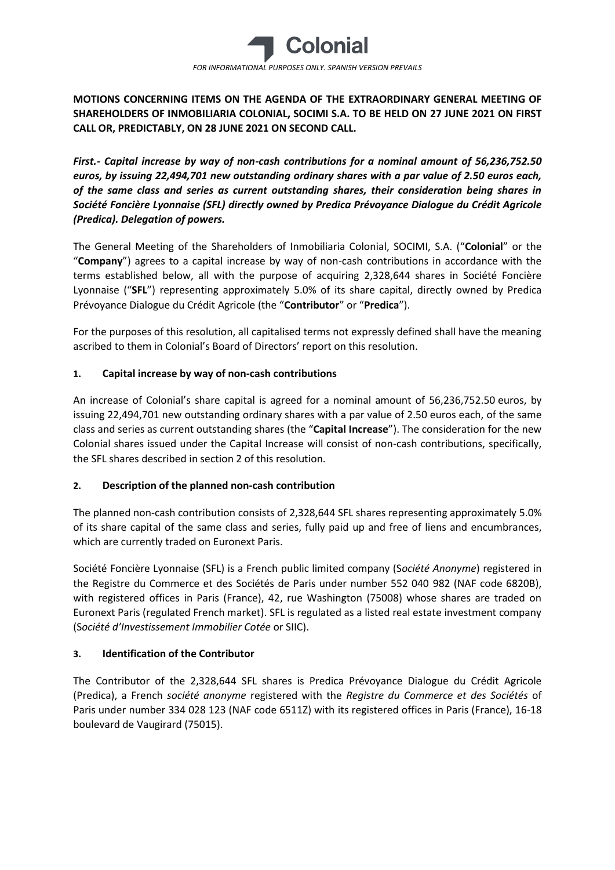

# **MOTIONS CONCERNING ITEMS ON THE AGENDA OF THE EXTRAORDINARY GENERAL MEETING OF SHAREHOLDERS OF INMOBILIARIA COLONIAL, SOCIMI S.A. TO BE HELD ON 27 JUNE 2021 ON FIRST CALL OR, PREDICTABLY, ON 28 JUNE 2021 ON SECOND CALL.**

*First.- Capital increase by way of non-cash contributions for a nominal amount of 56,236,752.50 euros, by issuing 22,494,701 new outstanding ordinary shares with a par value of 2.50 euros each, of the same class and series as current outstanding shares, their consideration being shares in Société Foncière Lyonnaise (SFL) directly owned by Predica Prévoyance Dialogue du Crédit Agricole (Predica). Delegation of powers.*

The General Meeting of the Shareholders of Inmobiliaria Colonial, SOCIMI, S.A. ("**Colonial**" or the "**Company**") agrees to a capital increase by way of non-cash contributions in accordance with the terms established below, all with the purpose of acquiring 2,328,644 shares in Société Foncière Lyonnaise ("**SFL**") representing approximately 5.0% of its share capital, directly owned by Predica Prévoyance Dialogue du Crédit Agricole (the "**Contributor**" or "**Predica**").

For the purposes of this resolution, all capitalised terms not expressly defined shall have the meaning ascribed to them in Colonial's Board of Directors' report on this resolution.

# **1. Capital increase by way of non-cash contributions**

An increase of Colonial's share capital is agreed for a nominal amount of 56,236,752.50 euros, by issuing 22,494,701 new outstanding ordinary shares with a par value of 2.50 euros each, of the same class and series as current outstanding shares (the "**Capital Increase**"). The consideration for the new Colonial shares issued under the Capital Increase will consist of non-cash contributions, specifically, the SFL shares described in section 2 of this resolution.

# **2. Description of the planned non-cash contribution**

The planned non-cash contribution consists of 2,328,644 SFL shares representing approximately 5.0% of its share capital of the same class and series, fully paid up and free of liens and encumbrances, which are currently traded on Euronext Paris.

Société Foncière Lyonnaise (SFL) is a French public limited company (S*ociété Anonyme*) registered in the Registre du Commerce et des Sociétés de Paris under number 552 040 982 (NAF code 6820B), with registered offices in Paris (France), 42, rue Washington (75008) whose shares are traded on Euronext Paris (regulated French market). SFL is regulated as a listed real estate investment company (S*ociété d'Investissement Immobilier Cotée* or SIIC).

# **3. Identification of the Contributor**

The Contributor of the 2,328,644 SFL shares is Predica Prévoyance Dialogue du Crédit Agricole (Predica), a French *société anonyme* registered with the *Registre du Commerce et des Sociétés* of Paris under number 334 028 123 (NAF code 6511Z) with its registered offices in Paris (France), 16-18 boulevard de Vaugirard (75015).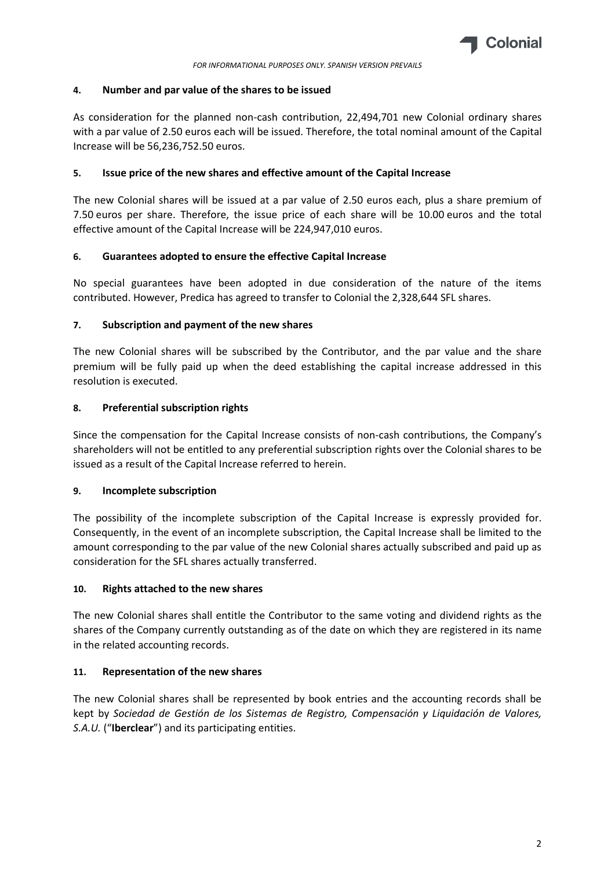

### **4. Number and par value of the shares to be issued**

As consideration for the planned non-cash contribution, 22,494,701 new Colonial ordinary shares with a par value of 2.50 euros each will be issued. Therefore, the total nominal amount of the Capital Increase will be 56,236,752.50 euros.

### **5. Issue price of the new shares and effective amount of the Capital Increase**

The new Colonial shares will be issued at a par value of 2.50 euros each, plus a share premium of 7.50 euros per share. Therefore, the issue price of each share will be 10.00 euros and the total effective amount of the Capital Increase will be 224,947,010 euros.

### **6. Guarantees adopted to ensure the effective Capital Increase**

No special guarantees have been adopted in due consideration of the nature of the items contributed. However, Predica has agreed to transfer to Colonial the 2,328,644 SFL shares.

### **7. Subscription and payment of the new shares**

The new Colonial shares will be subscribed by the Contributor, and the par value and the share premium will be fully paid up when the deed establishing the capital increase addressed in this resolution is executed.

### **8. Preferential subscription rights**

Since the compensation for the Capital Increase consists of non-cash contributions, the Company's shareholders will not be entitled to any preferential subscription rights over the Colonial shares to be issued as a result of the Capital Increase referred to herein.

#### **9. Incomplete subscription**

The possibility of the incomplete subscription of the Capital Increase is expressly provided for. Consequently, in the event of an incomplete subscription, the Capital Increase shall be limited to the amount corresponding to the par value of the new Colonial shares actually subscribed and paid up as consideration for the SFL shares actually transferred.

#### **10. Rights attached to the new shares**

The new Colonial shares shall entitle the Contributor to the same voting and dividend rights as the shares of the Company currently outstanding as of the date on which they are registered in its name in the related accounting records.

#### **11. Representation of the new shares**

The new Colonial shares shall be represented by book entries and the accounting records shall be kept by *Sociedad de Gestión de los Sistemas de Registro, Compensación y Liquidación de Valores, S.A.U.* ("**Iberclear**") and its participating entities.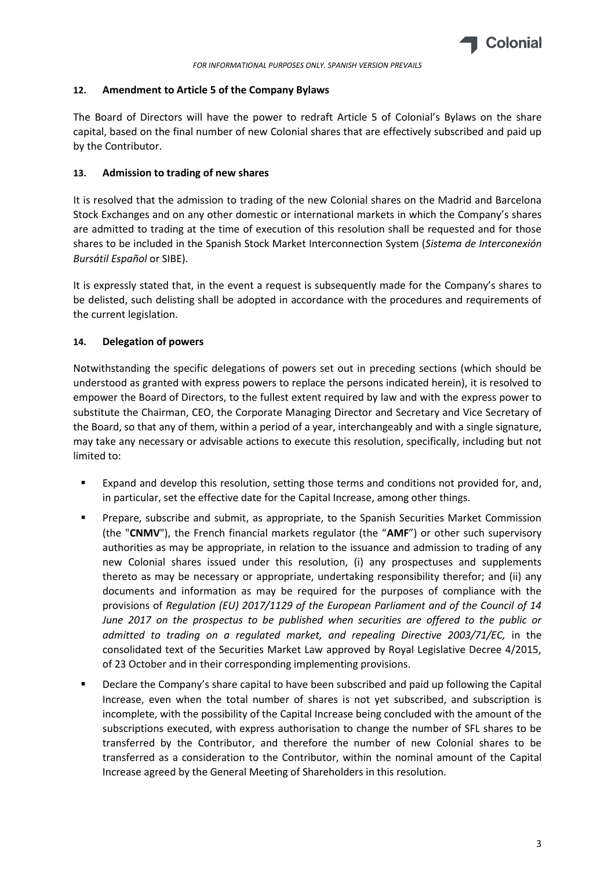

## **12. Amendment to Article 5 of the Company Bylaws**

The Board of Directors will have the power to redraft Article 5 of Colonial's Bylaws on the share capital, based on the final number of new Colonial shares that are effectively subscribed and paid up by the Contributor.

## **13. Admission to trading of new shares**

It is resolved that the admission to trading of the new Colonial shares on the Madrid and Barcelona Stock Exchanges and on any other domestic or international markets in which the Company's shares are admitted to trading at the time of execution of this resolution shall be requested and for those shares to be included in the Spanish Stock Market Interconnection System (*Sistema de Interconexión Bursátil Español* or SIBE).

It is expressly stated that, in the event a request is subsequently made for the Company's shares to be delisted, such delisting shall be adopted in accordance with the procedures and requirements of the current legislation.

# **14. Delegation of powers**

Notwithstanding the specific delegations of powers set out in preceding sections (which should be understood as granted with express powers to replace the persons indicated herein), it is resolved to empower the Board of Directors, to the fullest extent required by law and with the express power to substitute the Chairman, CEO, the Corporate Managing Director and Secretary and Vice Secretary of the Board, so that any of them, within a period of a year, interchangeably and with a single signature, may take any necessary or advisable actions to execute this resolution, specifically, including but not limited to:

- Expand and develop this resolution, setting those terms and conditions not provided for, and, in particular, set the effective date for the Capital Increase, among other things.
- Prepare, subscribe and submit, as appropriate, to the Spanish Securities Market Commission (the "**CNMV**"), the French financial markets regulator (the "**AMF**") or other such supervisory authorities as may be appropriate, in relation to the issuance and admission to trading of any new Colonial shares issued under this resolution, (i) any prospectuses and supplements thereto as may be necessary or appropriate, undertaking responsibility therefor; and (ii) any documents and information as may be required for the purposes of compliance with the provisions of *Regulation (EU) 2017/1129 of the European Parliament and of the Council of 14 June 2017 on the prospectus to be published when securities are offered to the public or admitted to trading on a regulated market, and repealing Directive 2003/71/EC,* in the consolidated text of the Securities Market Law approved by Royal Legislative Decree 4/2015, of 23 October and in their corresponding implementing provisions.
- Declare the Company's share capital to have been subscribed and paid up following the Capital Increase, even when the total number of shares is not yet subscribed, and subscription is incomplete, with the possibility of the Capital Increase being concluded with the amount of the subscriptions executed, with express authorisation to change the number of SFL shares to be transferred by the Contributor, and therefore the number of new Colonial shares to be transferred as a consideration to the Contributor, within the nominal amount of the Capital Increase agreed by the General Meeting of Shareholders in this resolution.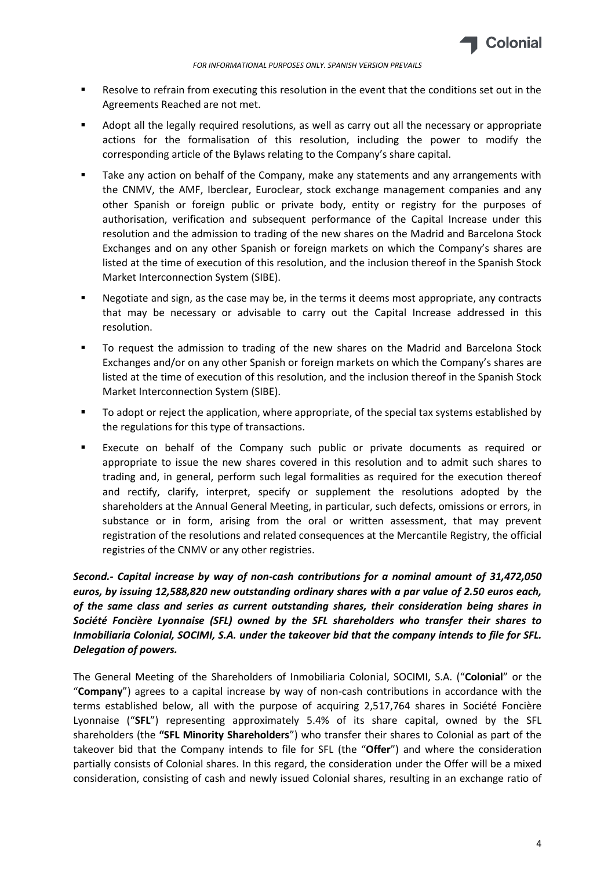

- Resolve to refrain from executing this resolution in the event that the conditions set out in the Agreements Reached are not met.
- Adopt all the legally required resolutions, as well as carry out all the necessary or appropriate actions for the formalisation of this resolution, including the power to modify the corresponding article of the Bylaws relating to the Company's share capital.
- Take any action on behalf of the Company, make any statements and any arrangements with the CNMV, the AMF, Iberclear, Euroclear, stock exchange management companies and any other Spanish or foreign public or private body, entity or registry for the purposes of authorisation, verification and subsequent performance of the Capital Increase under this resolution and the admission to trading of the new shares on the Madrid and Barcelona Stock Exchanges and on any other Spanish or foreign markets on which the Company's shares are listed at the time of execution of this resolution, and the inclusion thereof in the Spanish Stock Market Interconnection System (SIBE).
- Negotiate and sign, as the case may be, in the terms it deems most appropriate, any contracts that may be necessary or advisable to carry out the Capital Increase addressed in this resolution.
- To request the admission to trading of the new shares on the Madrid and Barcelona Stock Exchanges and/or on any other Spanish or foreign markets on which the Company's shares are listed at the time of execution of this resolution, and the inclusion thereof in the Spanish Stock Market Interconnection System (SIBE).
- To adopt or reject the application, where appropriate, of the special tax systems established by the regulations for this type of transactions.
- Execute on behalf of the Company such public or private documents as required or appropriate to issue the new shares covered in this resolution and to admit such shares to trading and, in general, perform such legal formalities as required for the execution thereof and rectify, clarify, interpret, specify or supplement the resolutions adopted by the shareholders at the Annual General Meeting, in particular, such defects, omissions or errors, in substance or in form, arising from the oral or written assessment, that may prevent registration of the resolutions and related consequences at the Mercantile Registry, the official registries of the CNMV or any other registries.

*Second.- Capital increase by way of non-cash contributions for a nominal amount of 31,472,050 euros, by issuing 12,588,820 new outstanding ordinary shares with a par value of 2.50 euros each, of the same class and series as current outstanding shares, their consideration being shares in Société Foncière Lyonnaise (SFL) owned by the SFL shareholders who transfer their shares to Inmobiliaria Colonial, SOCIMI, S.A. under the takeover bid that the company intends to file for SFL. Delegation of powers.*

The General Meeting of the Shareholders of Inmobiliaria Colonial, SOCIMI, S.A. ("**Colonial**" or the "**Company**") agrees to a capital increase by way of non-cash contributions in accordance with the terms established below, all with the purpose of acquiring 2,517,764 shares in Société Foncière Lyonnaise ("**SFL**") representing approximately 5.4% of its share capital, owned by the SFL shareholders (the **"SFL Minority Shareholders**") who transfer their shares to Colonial as part of the takeover bid that the Company intends to file for SFL (the "**Offer**") and where the consideration partially consists of Colonial shares. In this regard, the consideration under the Offer will be a mixed consideration, consisting of cash and newly issued Colonial shares, resulting in an exchange ratio of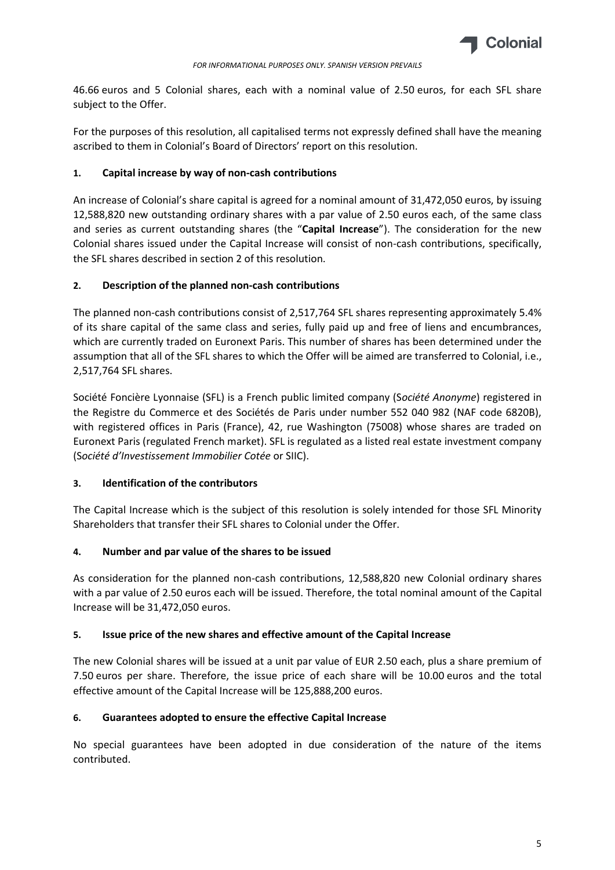

46.66 euros and 5 Colonial shares, each with a nominal value of 2.50 euros, for each SFL share subject to the Offer.

For the purposes of this resolution, all capitalised terms not expressly defined shall have the meaning ascribed to them in Colonial's Board of Directors' report on this resolution.

## **1. Capital increase by way of non-cash contributions**

An increase of Colonial's share capital is agreed for a nominal amount of 31,472,050 euros, by issuing 12,588,820 new outstanding ordinary shares with a par value of 2.50 euros each, of the same class and series as current outstanding shares (the "**Capital Increase**"). The consideration for the new Colonial shares issued under the Capital Increase will consist of non-cash contributions, specifically, the SFL shares described in section 2 of this resolution.

### **2. Description of the planned non-cash contributions**

The planned non-cash contributions consist of 2,517,764 SFL shares representing approximately 5.4% of its share capital of the same class and series, fully paid up and free of liens and encumbrances, which are currently traded on Euronext Paris. This number of shares has been determined under the assumption that all of the SFL shares to which the Offer will be aimed are transferred to Colonial, i.e., 2,517,764 SFL shares.

Société Foncière Lyonnaise (SFL) is a French public limited company (S*ociété Anonyme*) registered in the Registre du Commerce et des Sociétés de Paris under number 552 040 982 (NAF code 6820B), with registered offices in Paris (France), 42, rue Washington (75008) whose shares are traded on Euronext Paris (regulated French market). SFL is regulated as a listed real estate investment company (S*ociété d'Investissement Immobilier Cotée* or SIIC).

# **3. Identification of the contributors**

The Capital Increase which is the subject of this resolution is solely intended for those SFL Minority Shareholders that transfer their SFL shares to Colonial under the Offer.

# **4. Number and par value of the shares to be issued**

As consideration for the planned non-cash contributions, 12,588,820 new Colonial ordinary shares with a par value of 2.50 euros each will be issued. Therefore, the total nominal amount of the Capital Increase will be 31,472,050 euros.

#### **5. Issue price of the new shares and effective amount of the Capital Increase**

The new Colonial shares will be issued at a unit par value of EUR 2.50 each, plus a share premium of 7.50 euros per share. Therefore, the issue price of each share will be 10.00 euros and the total effective amount of the Capital Increase will be 125,888,200 euros.

# **6. Guarantees adopted to ensure the effective Capital Increase**

No special guarantees have been adopted in due consideration of the nature of the items contributed.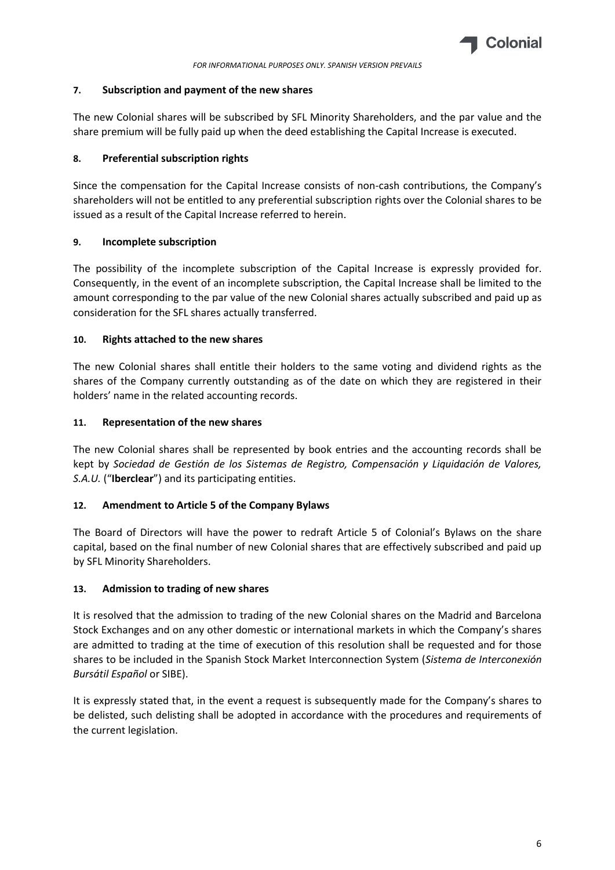

## **7. Subscription and payment of the new shares**

The new Colonial shares will be subscribed by SFL Minority Shareholders, and the par value and the share premium will be fully paid up when the deed establishing the Capital Increase is executed.

# **8. Preferential subscription rights**

Since the compensation for the Capital Increase consists of non-cash contributions, the Company's shareholders will not be entitled to any preferential subscription rights over the Colonial shares to be issued as a result of the Capital Increase referred to herein.

# **9. Incomplete subscription**

The possibility of the incomplete subscription of the Capital Increase is expressly provided for. Consequently, in the event of an incomplete subscription, the Capital Increase shall be limited to the amount corresponding to the par value of the new Colonial shares actually subscribed and paid up as consideration for the SFL shares actually transferred.

# **10. Rights attached to the new shares**

The new Colonial shares shall entitle their holders to the same voting and dividend rights as the shares of the Company currently outstanding as of the date on which they are registered in their holders' name in the related accounting records.

# **11. Representation of the new shares**

The new Colonial shares shall be represented by book entries and the accounting records shall be kept by *Sociedad de Gestión de los Sistemas de Registro, Compensación y Liquidación de Valores, S.A.U.* ("**Iberclear**") and its participating entities.

# **12. Amendment to Article 5 of the Company Bylaws**

The Board of Directors will have the power to redraft Article 5 of Colonial's Bylaws on the share capital, based on the final number of new Colonial shares that are effectively subscribed and paid up by SFL Minority Shareholders.

# **13. Admission to trading of new shares**

It is resolved that the admission to trading of the new Colonial shares on the Madrid and Barcelona Stock Exchanges and on any other domestic or international markets in which the Company's shares are admitted to trading at the time of execution of this resolution shall be requested and for those shares to be included in the Spanish Stock Market Interconnection System (*Sistema de Interconexión Bursátil Español* or SIBE).

It is expressly stated that, in the event a request is subsequently made for the Company's shares to be delisted, such delisting shall be adopted in accordance with the procedures and requirements of the current legislation.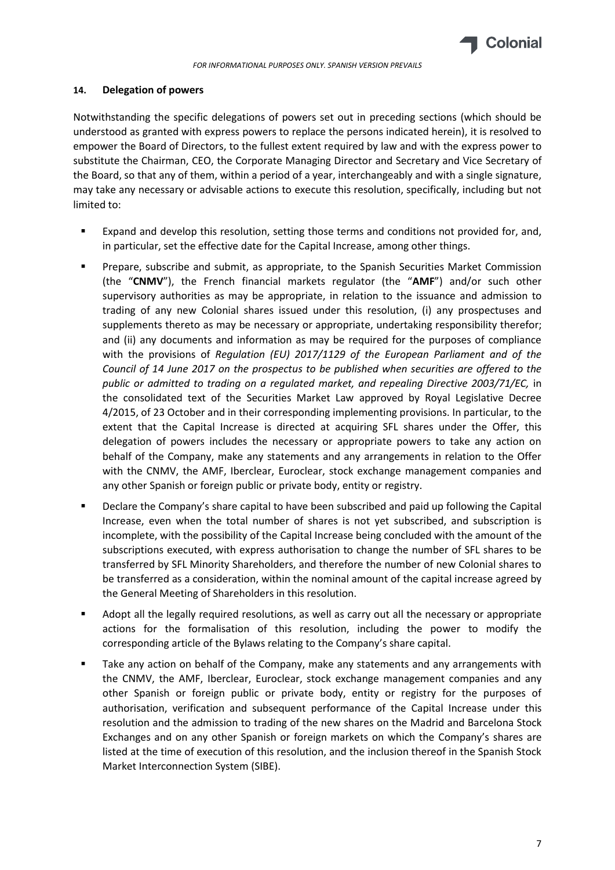

## **14. Delegation of powers**

Notwithstanding the specific delegations of powers set out in preceding sections (which should be understood as granted with express powers to replace the persons indicated herein), it is resolved to empower the Board of Directors, to the fullest extent required by law and with the express power to substitute the Chairman, CEO, the Corporate Managing Director and Secretary and Vice Secretary of the Board, so that any of them, within a period of a year, interchangeably and with a single signature, may take any necessary or advisable actions to execute this resolution, specifically, including but not limited to:

- Expand and develop this resolution, setting those terms and conditions not provided for, and, in particular, set the effective date for the Capital Increase, among other things.
- Prepare, subscribe and submit, as appropriate, to the Spanish Securities Market Commission (the "**CNMV**"), the French financial markets regulator (the "**AMF**") and/or such other supervisory authorities as may be appropriate, in relation to the issuance and admission to trading of any new Colonial shares issued under this resolution, (i) any prospectuses and supplements thereto as may be necessary or appropriate, undertaking responsibility therefor; and (ii) any documents and information as may be required for the purposes of compliance with the provisions of *Regulation (EU) 2017/1129 of the European Parliament and of the Council of 14 June 2017 on the prospectus to be published when securities are offered to the public or admitted to trading on a regulated market, and repealing Directive 2003/71/EC,* in the consolidated text of the Securities Market Law approved by Royal Legislative Decree 4/2015, of 23 October and in their corresponding implementing provisions. In particular, to the extent that the Capital Increase is directed at acquiring SFL shares under the Offer, this delegation of powers includes the necessary or appropriate powers to take any action on behalf of the Company, make any statements and any arrangements in relation to the Offer with the CNMV, the AMF, Iberclear, Euroclear, stock exchange management companies and any other Spanish or foreign public or private body, entity or registry.
- Declare the Company's share capital to have been subscribed and paid up following the Capital Increase, even when the total number of shares is not yet subscribed, and subscription is incomplete, with the possibility of the Capital Increase being concluded with the amount of the subscriptions executed, with express authorisation to change the number of SFL shares to be transferred by SFL Minority Shareholders, and therefore the number of new Colonial shares to be transferred as a consideration, within the nominal amount of the capital increase agreed by the General Meeting of Shareholders in this resolution.
- Adopt all the legally required resolutions, as well as carry out all the necessary or appropriate actions for the formalisation of this resolution, including the power to modify the corresponding article of the Bylaws relating to the Company's share capital.
- Take any action on behalf of the Company, make any statements and any arrangements with the CNMV, the AMF, Iberclear, Euroclear, stock exchange management companies and any other Spanish or foreign public or private body, entity or registry for the purposes of authorisation, verification and subsequent performance of the Capital Increase under this resolution and the admission to trading of the new shares on the Madrid and Barcelona Stock Exchanges and on any other Spanish or foreign markets on which the Company's shares are listed at the time of execution of this resolution, and the inclusion thereof in the Spanish Stock Market Interconnection System (SIBE).